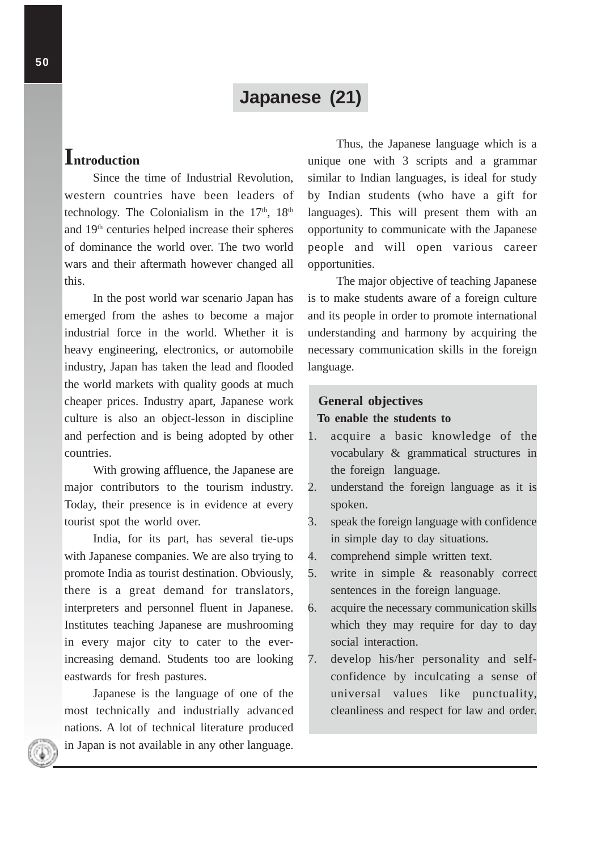# **Japanese (21)**

# **Introduction**

Since the time of Industrial Revolution, western countries have been leaders of technology. The Colonialism in the  $17<sup>th</sup>$ ,  $18<sup>th</sup>$ and 19th centuries helped increase their spheres of dominance the world over. The two world wars and their aftermath however changed all this.

In the post world war scenario Japan has emerged from the ashes to become a major industrial force in the world. Whether it is heavy engineering, electronics, or automobile industry, Japan has taken the lead and flooded the world markets with quality goods at much cheaper prices. Industry apart, Japanese work culture is also an object-lesson in discipline and perfection and is being adopted by other countries.

With growing affluence, the Japanese are major contributors to the tourism industry. Today, their presence is in evidence at every tourist spot the world over.

India, for its part, has several tie-ups with Japanese companies. We are also trying to promote India as tourist destination. Obviously, there is a great demand for translators, interpreters and personnel fluent in Japanese. Institutes teaching Japanese are mushrooming in every major city to cater to the everincreasing demand. Students too are looking eastwards for fresh pastures.

Japanese is the language of one of the most technically and industrially advanced nations. A lot of technical literature produced in Japan is not available in any other language.

Thus, the Japanese language which is a unique one with 3 scripts and a grammar similar to Indian languages, is ideal for study by Indian students (who have a gift for languages). This will present them with an opportunity to communicate with the Japanese people and will open various career opportunities.

The major objective of teaching Japanese is to make students aware of a foreign culture and its people in order to promote international understanding and harmony by acquiring the necessary communication skills in the foreign language.

## **General objectives**

### **To enable the students to**

- 1. acquire a basic knowledge of the vocabulary & grammatical structures in the foreign language.
- 2. understand the foreign language as it is spoken.
- 3. speak the foreign language with confidence in simple day to day situations.
- 4. comprehend simple written text.
- 5. write in simple & reasonably correct sentences in the foreign language.
- 6. acquire the necessary communication skills which they may require for day to day social interaction.
- 7. develop his/her personality and selfconfidence by inculcating a sense of universal values like punctuality, cleanliness and respect for law and order.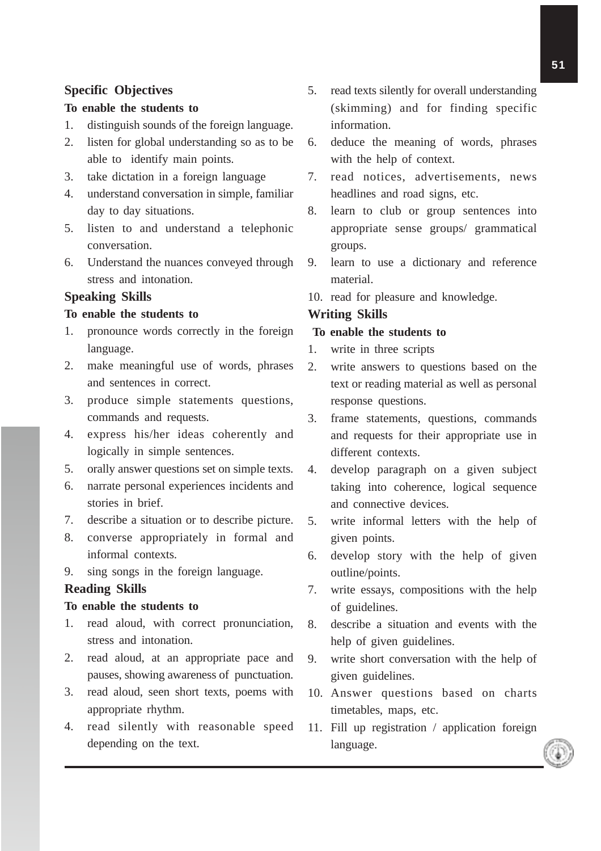## **Specific Objectives**

## **To enable the students to**

- 1. distinguish sounds of the foreign language.
- 2. listen for global understanding so as to be able to identify main points.
- 3. take dictation in a foreign language
- 4. understand conversation in simple, familiar day to day situations.
- 5. listen to and understand a telephonic conversation.
- 6. Understand the nuances conveyed through stress and intonation.

## **Speaking Skills**

### **To enable the students to**

- 1. pronounce words correctly in the foreign language.
- 2. make meaningful use of words, phrases and sentences in correct.
- 3. produce simple statements questions, commands and requests.
- 4. express his/her ideas coherently and logically in simple sentences.
- 5. orally answer questions set on simple texts.
- 6. narrate personal experiences incidents and stories in brief.
- 7. describe a situation or to describe picture.
- 8. converse appropriately in formal and informal contexts.
- 9. sing songs in the foreign language.

### **Reading Skills**

#### **To enable the students to**

- 1. read aloud, with correct pronunciation, stress and intonation.
- 2. read aloud, at an appropriate pace and pauses, showing awareness of punctuation.
- 3. read aloud, seen short texts, poems with appropriate rhythm.
- 4. read silently with reasonable speed depending on the text.
- 5. read texts silently for overall understanding (skimming) and for finding specific information.
- 6. deduce the meaning of words, phrases with the help of context.
- 7. read notices, advertisements, news headlines and road signs, etc.
- 8. learn to club or group sentences into appropriate sense groups/ grammatical groups.
- 9. learn to use a dictionary and reference material.
- 10. read for pleasure and knowledge.

### **Writing Skills**

### **To enable the students to**

- 1. write in three scripts
- 2. write answers to questions based on the text or reading material as well as personal response questions.
- 3. frame statements, questions, commands and requests for their appropriate use in different contexts.
- 4. develop paragraph on a given subject taking into coherence, logical sequence and connective devices.
- 5. write informal letters with the help of given points.
- 6. develop story with the help of given outline/points.
- 7. write essays, compositions with the help of guidelines.
- 8. describe a situation and events with the help of given guidelines.
- 9. write short conversation with the help of given guidelines.
- 10. Answer questions based on charts timetables, maps, etc.
- 11. Fill up registration / application foreign language.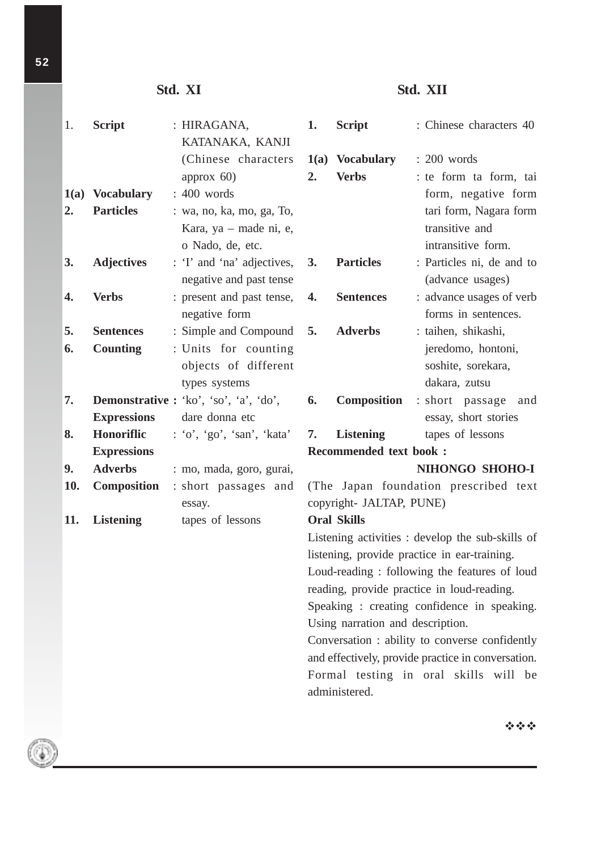# **Std. XI**

# **Std. XII**

| 1.   | <b>Script</b>      | : HIRAGANA,<br>KATANAKA, KANJI                                          | 1.                                                                                                                                                                                                                                                                                                                                    | <b>Script</b>                   |  | : Chinese characters 40                                        |
|------|--------------------|-------------------------------------------------------------------------|---------------------------------------------------------------------------------------------------------------------------------------------------------------------------------------------------------------------------------------------------------------------------------------------------------------------------------------|---------------------------------|--|----------------------------------------------------------------|
|      |                    | (Chinese characters)<br>approx $60$ )                                   | 2.                                                                                                                                                                                                                                                                                                                                    | 1(a) Vocabulary<br><b>Verbs</b> |  | $: 200$ words<br>: te form ta form, tai                        |
| 1(a) | <b>Vocabulary</b>  | : 400 words                                                             |                                                                                                                                                                                                                                                                                                                                       |                                 |  | form, negative form                                            |
| 2.   | <b>Particles</b>   | : wa, no, ka, mo, ga, To,<br>Kara, ya – made ni, e,<br>o Nado, de, etc. |                                                                                                                                                                                                                                                                                                                                       |                                 |  | tari form, Nagara form<br>transitive and<br>intransitive form. |
| 3.   | <b>Adjectives</b>  | : 'I' and 'na' adjectives,<br>negative and past tense                   | 3.                                                                                                                                                                                                                                                                                                                                    | <b>Particles</b>                |  | : Particles ni, de and to<br>(advance usages)                  |
| 4.   | <b>Verbs</b>       | : present and past tense,<br>negative form                              | 4.                                                                                                                                                                                                                                                                                                                                    | <b>Sentences</b>                |  | : advance usages of verb<br>forms in sentences.                |
| 5.   | <b>Sentences</b>   | : Simple and Compound                                                   | 5.                                                                                                                                                                                                                                                                                                                                    | <b>Adverbs</b>                  |  | : taihen, shikashi,                                            |
| 6.   | <b>Counting</b>    | : Units for counting<br>objects of different<br>types systems           |                                                                                                                                                                                                                                                                                                                                       |                                 |  | jeredomo, hontoni,<br>soshite, sorekara,<br>dakara, zutsu      |
| 7.   |                    | <b>Demonstrative :</b> 'ko', 'so', 'a', 'do',                           | 6.                                                                                                                                                                                                                                                                                                                                    | <b>Composition</b>              |  | : short passage<br>and                                         |
|      | <b>Expressions</b> | dare donna etc                                                          |                                                                                                                                                                                                                                                                                                                                       |                                 |  | essay, short stories                                           |
| 8.   | Honoriflic         | : 'o', 'go', 'san', 'kata'                                              | 7.                                                                                                                                                                                                                                                                                                                                    | <b>Listening</b>                |  | tapes of lessons                                               |
|      | <b>Expressions</b> |                                                                         |                                                                                                                                                                                                                                                                                                                                       | <b>Recommended text book:</b>   |  |                                                                |
| 9.   | <b>Adverbs</b>     | : mo, mada, goro, gurai,                                                |                                                                                                                                                                                                                                                                                                                                       |                                 |  | NIHONGO SHOHO-I                                                |
| 10.  | <b>Composition</b> | : short passages and                                                    |                                                                                                                                                                                                                                                                                                                                       |                                 |  | (The Japan foundation prescribed text                          |
| 11.  | <b>Listening</b>   | essay.<br>tapes of lessons                                              | copyright- JALTAP, PUNE)<br><b>Oral Skills</b>                                                                                                                                                                                                                                                                                        |                                 |  |                                                                |
|      |                    |                                                                         | Listening activities : develop the sub-skills of                                                                                                                                                                                                                                                                                      |                                 |  |                                                                |
|      |                    |                                                                         | listening, provide practice in ear-training.<br>Loud-reading : following the features of loud<br>reading, provide practice in loud-reading.<br>Speaking : creating confidence in speaking.<br>Using narration and description.<br>Conversation: ability to converse confidently<br>and effectively, provide practice in conversation. |                                 |  |                                                                |
|      |                    |                                                                         |                                                                                                                                                                                                                                                                                                                                       |                                 |  |                                                                |
|      |                    |                                                                         |                                                                                                                                                                                                                                                                                                                                       |                                 |  |                                                                |
|      |                    |                                                                         |                                                                                                                                                                                                                                                                                                                                       |                                 |  |                                                                |
|      |                    |                                                                         |                                                                                                                                                                                                                                                                                                                                       |                                 |  |                                                                |
|      |                    |                                                                         |                                                                                                                                                                                                                                                                                                                                       |                                 |  |                                                                |
|      |                    |                                                                         |                                                                                                                                                                                                                                                                                                                                       |                                 |  |                                                                |
|      |                    |                                                                         |                                                                                                                                                                                                                                                                                                                                       | administered.                   |  | Formal testing in oral skills will be                          |
|      |                    |                                                                         |                                                                                                                                                                                                                                                                                                                                       |                                 |  |                                                                |

⊙

空空空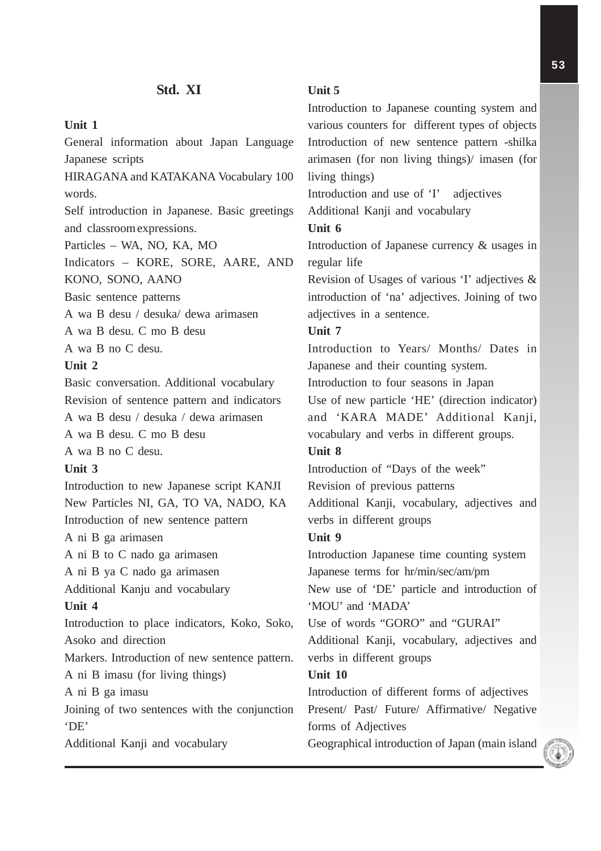## **Unit 1**

General information about Japan Language Japanese scripts HIRAGANA and KATAKANA Vocabulary 100 words. Self introduction in Japanese. Basic greetings and classroomexpressions. Particles – WA, NO, KA, MO Indicators – KORE, SORE, AARE, AND KONO, SONO, AANO Basic sentence patterns A wa B desu / desuka/ dewa arimasen A wa B desu. C mo B desu A wa B no C desu. **Unit 2** Basic conversation. Additional vocabulary Revision of sentence pattern and indicators A wa B desu / desuka / dewa arimasen A wa B desu. C mo B desu A wa B no C desu. **Unit 3** Introduction to new Japanese script KANJI New Particles NI, GA, TO VA, NADO, KA Introduction of new sentence pattern A ni B ga arimasen A ni B to C nado ga arimasen A ni B ya C nado ga arimasen Additional Kanju and vocabulary **Unit 4** Introduction to place indicators, Koko, Soko, Asoko and direction Markers. Introduction of new sentence pattern. A ni B imasu (for living things) A ni B ga imasu Joining of two sentences with the conjunction 'DE' Additional Kanji and vocabulary

## **Unit 5**

Introduction to Japanese counting system and various counters for different types of objects Introduction of new sentence pattern -shilka arimasen (for non living things)/ imasen (for living things) Introduction and use of 'I' adjectives Additional Kanji and vocabulary **Unit 6** Introduction of Japanese currency & usages in regular life Revision of Usages of various 'I' adjectives & introduction of 'na' adjectives. Joining of two adjectives in a sentence. **Unit 7** Introduction to Years/ Months/ Dates in Japanese and their counting system. Introduction to four seasons in Japan Use of new particle 'HE' (direction indicator) and 'KARA MADE' Additional Kanji, vocabulary and verbs in different groups. **Unit 8** Introduction of "Days of the week" Revision of previous patterns Additional Kanji, vocabulary, adjectives and verbs in different groups **Unit 9** Introduction Japanese time counting system Japanese terms for hr/min/sec/am/pm New use of 'DE' particle and introduction of 'MOU' and 'MADA' Use of words "GORO" and "GURAI" Additional Kanji, vocabulary, adjectives and verbs in different groups **Unit 10** Introduction of different forms of adjectives Present/ Past/ Future/ Affirmative/ Negative forms of Adjectives Geographical introduction of Japan (main island